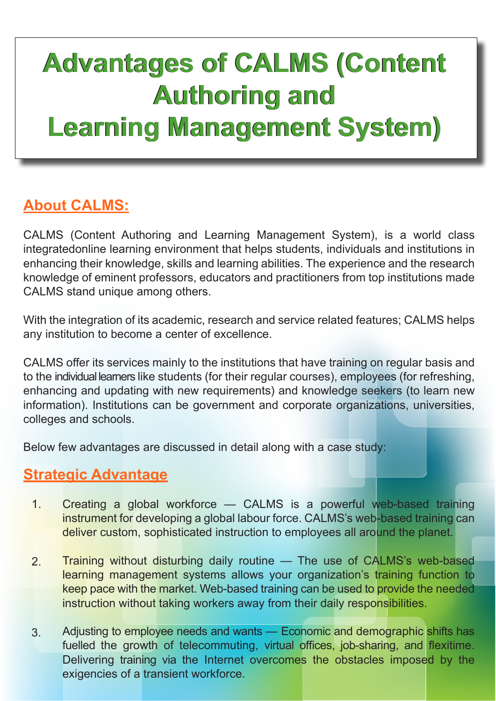# **Advantages of CALMS (Content Advantages of CALMS (Content Authoring and Authoring and Learning Management System) Learning Management System)**

## **About CALMS:**

CALMS (Content Authoring and Learning Management System), is a world class integratedonline learning environment that helps students, individuals and institutions in enhancing their knowledge, skills and learning abilities. The experience and the research knowledge of eminent professors, educators and practitioners from top institutions made CALMS stand unique among others.

With the integration of its academic, research and service related features; CALMS helps any institution to become a center of excellence.

CALMS offer its services mainly to the institutions that have training on regular basis and to the individual learners like students (for their regular courses), employees (for refreshing, enhancing and updating with new requirements) and knowledge seekers (to learn new information). Institutions can be government and corporate organizations, universities, colleges and schools.

Below few advantages are discussed in detail along with a case study:

#### **Strategic Advantage**

- 1. Creating a global workforce — CALMS is a powerful web-based training instrument for developing a global labour force. CALMS's web-based training can deliver custom, sophisticated instruction to employees all around the planet.
- 2. Training without disturbing daily routine — The use of CALMS's web-based learning management systems allows your organization's training function to keep pace with the market. Web-based training can be used to provide the needed instruction without taking workers away from their daily responsibilities.
- 3. Adjusting to employee needs and wants — Economic and demographic shifts has fuelled the growth of telecommuting, virtual offices, job-sharing, and flexitime. Delivering training via the Internet overcomes the obstacles imposed by the exigencies of a transient workforce.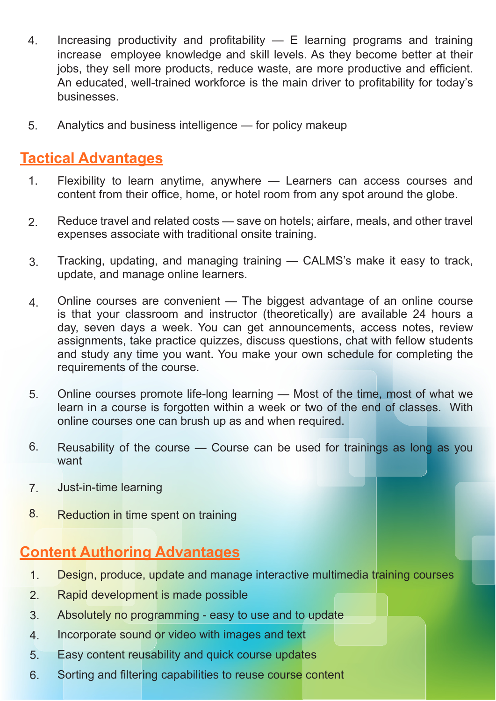- 4. Increasing productivity and profitability  $-$  E learning programs and training increase employee knowledge and skill levels. As they become better at their jobs, they sell more products, reduce waste, are more productive and efficient. An educated, well-trained workforce is the main driver to profitability for today's businesses.
- 5. Analytics and business intelligence — for policy makeup

### **Tactical Advantages**

- 1. Flexibility to learn anytime, anywhere — Learners can access courses and content from their office, home, or hotel room from any spot around the globe.
- 2. Reduce travel and related costs — save on hotels; airfare, meals, and other travel expenses associate with traditional onsite training.
- 3. Tracking, updating, and managing training — CALMS's make it easy to track, update, and manage online learners.
- 4. Online courses are convenient — The biggest advantage of an online course is that your classroom and instructor (theoretically) are available 24 hours a day, seven days a week. You can get announcements, access notes, review assignments, take practice quizzes, discuss questions, chat with fellow students and study any time you want. You make your own schedule for completing the requirements of the course.
- 5. Online courses promote life-long learning — Most of the time, most of what we learn in a course is forgotten within a week or two of the end of classes. With online courses one can brush up as and when required.
- 6. Reusability of the course — Course can be used for trainings as long as you want
- 7. Just-in-time learning
- 8. Reduction in time spent on training

## **Content Authoring Advantages**

- 1. Design, produce, update and manage interactive multimedia training courses
- 2. Rapid development is made possible
- 3. Absolutely no programming - easy to use and to update
- 4. Incorporate sound or video with images and text
- 5. Easy content reusability and quick course updates
- 6. Sorting and filtering capabilities to reuse course content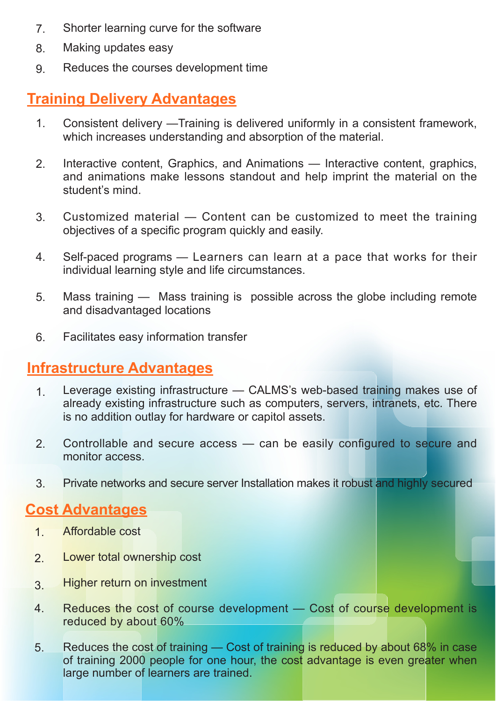- Shorter learning curve for the software 7.
- Making updates easy 8.
- Reduces the courses development time 9.

### **Training Delivery Advantages**

- Consistent delivery —Training is delivered uniformly in a consistent framework, which increases understanding and absorption of the material. 1.
- Interactive content, Graphics, and Animations Interactive content, graphics, and animations make lessons standout and help imprint the material on the student's mind. 2.
- Customized material Content can be customized to meet the training objectives of a specific program quickly and easily. 3.
- Self-paced programs Learners can learn at a pace that works for their individual learning style and life circumstances. 4.
- Mass training Mass training is possible across the globe including remote and disadvantaged locations 5.
- Facilitates easy information transfer 6.

#### **Infrastructure Advantages**

- Leverage existing infrastructure CALMS's web-based training makes use of already existing infrastructure such as computers, servers, intranets, etc. There is no addition outlay for hardware or capitol assets. 1.
- Controllable and secure access can be easily configured to secure and monitor access. 2.
- Private networks and secure server Installation makes it robust and highly secured 3.

#### **Cost Advantages**

- Affordable cost 1.
- Lower total ownership cost 2.
- Higher return on investment 3.
- Reduces the cost of course development Cost of course development is reduced by about 60% 4.
- Reduces the cost of training Cost of training is reduced by about 68% in case of training 2000 people for one hour, the cost advantage is even greater when large number of learners are trained. 5.